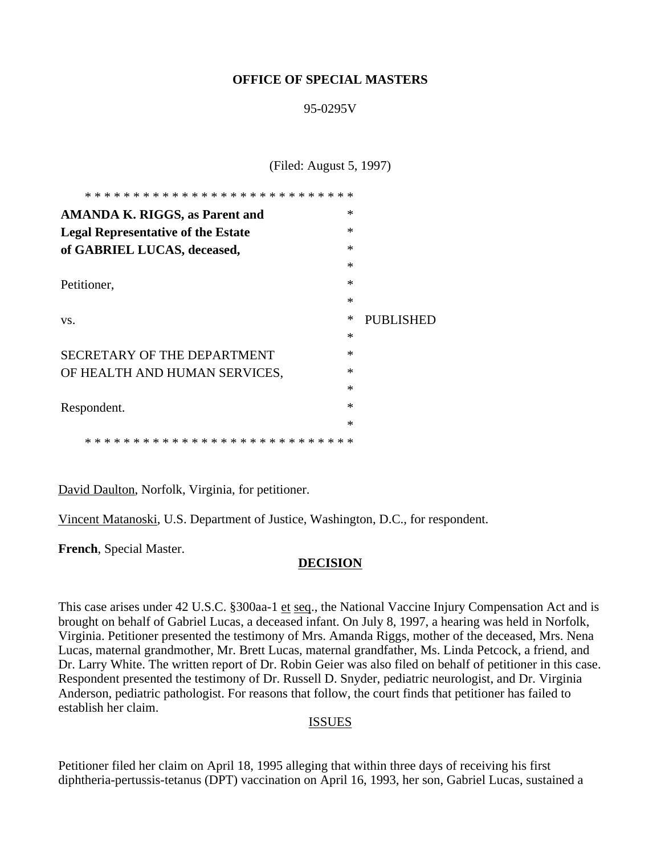#### **OFFICE OF SPECIAL MASTERS**

#### 95-0295V

(Filed: August 5, 1997)

| * * * * * * * * * * * * * * * * * * *<br>* *            |        |           |
|---------------------------------------------------------|--------|-----------|
| <b>AMANDA K. RIGGS, as Parent and</b>                   | $\ast$ |           |
| <b>Legal Representative of the Estate</b>               | $\ast$ |           |
| of GABRIEL LUCAS, deceased,                             | $\ast$ |           |
|                                                         | $\ast$ |           |
| Petitioner,                                             | $\ast$ |           |
|                                                         | $\ast$ |           |
| VS.                                                     | ∗      | PUBLISHED |
|                                                         | $\ast$ |           |
| <b>SECRETARY OF THE DEPARTMENT</b>                      | $\ast$ |           |
| OF HEALTH AND HUMAN SERVICES,                           | $\ast$ |           |
|                                                         | $\ast$ |           |
| Respondent.                                             | $\ast$ |           |
|                                                         | $\ast$ |           |
| * *<br>* * * * * * * * * * * * * * * * *<br>* * *<br>ж. | $* *$  |           |

David Daulton, Norfolk, Virginia, for petitioner.

Vincent Matanoski, U.S. Department of Justice, Washington, D.C., for respondent.

**French**, Special Master.

#### **DECISION**

This case arises under 42 U.S.C. §300aa-1 et seq., the National Vaccine Injury Compensation Act and is brought on behalf of Gabriel Lucas, a deceased infant. On July 8, 1997, a hearing was held in Norfolk, Virginia. Petitioner presented the testimony of Mrs. Amanda Riggs, mother of the deceased, Mrs. Nena Lucas, maternal grandmother, Mr. Brett Lucas, maternal grandfather, Ms. Linda Petcock, a friend, and Dr. Larry White. The written report of Dr. Robin Geier was also filed on behalf of petitioner in this case. Respondent presented the testimony of Dr. Russell D. Snyder, pediatric neurologist, and Dr. Virginia Anderson, pediatric pathologist. For reasons that follow, the court finds that petitioner has failed to establish her claim.

#### ISSUES

Petitioner filed her claim on April 18, 1995 alleging that within three days of receiving his first diphtheria-pertussis-tetanus (DPT) vaccination on April 16, 1993, her son, Gabriel Lucas, sustained a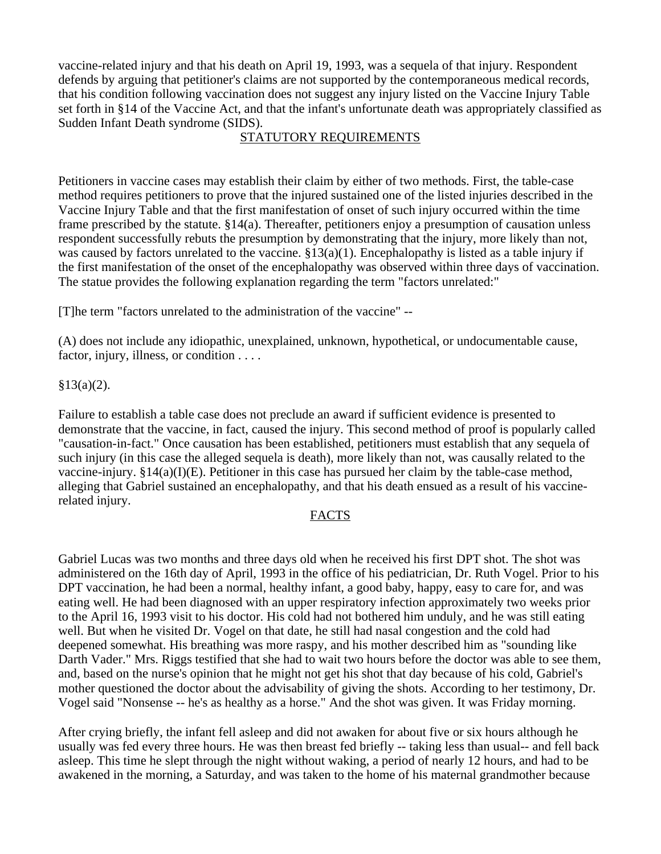vaccine-related injury and that his death on April 19, 1993, was a sequela of that injury. Respondent defends by arguing that petitioner's claims are not supported by the contemporaneous medical records, that his condition following vaccination does not suggest any injury listed on the Vaccine Injury Table set forth in §14 of the Vaccine Act, and that the infant's unfortunate death was appropriately classified as Sudden Infant Death syndrome (SIDS).

### STATUTORY REQUIREMENTS

Petitioners in vaccine cases may establish their claim by either of two methods. First, the table-case method requires petitioners to prove that the injured sustained one of the listed injuries described in the Vaccine Injury Table and that the first manifestation of onset of such injury occurred within the time frame prescribed by the statute. §14(a). Thereafter, petitioners enjoy a presumption of causation unless respondent successfully rebuts the presumption by demonstrating that the injury, more likely than not, was caused by factors unrelated to the vaccine. §13(a)(1). Encephalopathy is listed as a table injury if the first manifestation of the onset of the encephalopathy was observed within three days of vaccination. The statue provides the following explanation regarding the term "factors unrelated:"

[T]he term "factors unrelated to the administration of the vaccine" --

(A) does not include any idiopathic, unexplained, unknown, hypothetical, or undocumentable cause, factor, injury, illness, or condition . . . .

### $§13(a)(2)$ .

Failure to establish a table case does not preclude an award if sufficient evidence is presented to demonstrate that the vaccine, in fact, caused the injury. This second method of proof is popularly called "causation-in-fact." Once causation has been established, petitioners must establish that any sequela of such injury (in this case the alleged sequela is death), more likely than not, was causally related to the vaccine-injury.  $\S 14(a)(I)(E)$ . Petitioner in this case has pursued her claim by the table-case method, alleging that Gabriel sustained an encephalopathy, and that his death ensued as a result of his vaccinerelated injury.

#### FACTS

Gabriel Lucas was two months and three days old when he received his first DPT shot. The shot was administered on the 16th day of April, 1993 in the office of his pediatrician, Dr. Ruth Vogel. Prior to his DPT vaccination, he had been a normal, healthy infant, a good baby, happy, easy to care for, and was eating well. He had been diagnosed with an upper respiratory infection approximately two weeks prior to the April 16, 1993 visit to his doctor. His cold had not bothered him unduly, and he was still eating well. But when he visited Dr. Vogel on that date, he still had nasal congestion and the cold had deepened somewhat. His breathing was more raspy, and his mother described him as "sounding like Darth Vader." Mrs. Riggs testified that she had to wait two hours before the doctor was able to see them, and, based on the nurse's opinion that he might not get his shot that day because of his cold, Gabriel's mother questioned the doctor about the advisability of giving the shots. According to her testimony, Dr. Vogel said "Nonsense -- he's as healthy as a horse." And the shot was given. It was Friday morning.

After crying briefly, the infant fell asleep and did not awaken for about five or six hours although he usually was fed every three hours. He was then breast fed briefly -- taking less than usual-- and fell back asleep. This time he slept through the night without waking, a period of nearly 12 hours, and had to be awakened in the morning, a Saturday, and was taken to the home of his maternal grandmother because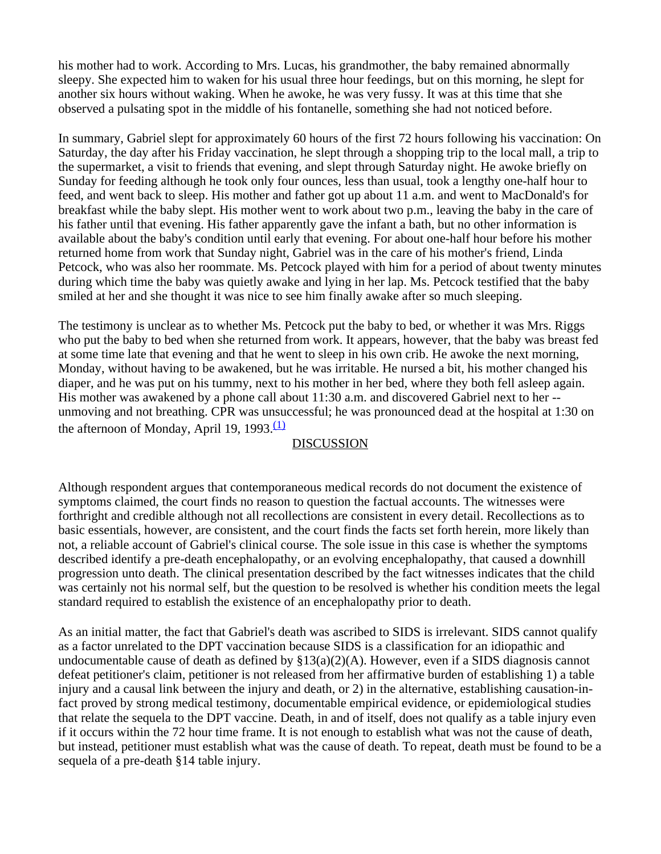his mother had to work. According to Mrs. Lucas, his grandmother, the baby remained abnormally sleepy. She expected him to waken for his usual three hour feedings, but on this morning, he slept for another six hours without waking. When he awoke, he was very fussy. It was at this time that she observed a pulsating spot in the middle of his fontanelle, something she had not noticed before.

In summary, Gabriel slept for approximately 60 hours of the first 72 hours following his vaccination: On Saturday, the day after his Friday vaccination, he slept through a shopping trip to the local mall, a trip to the supermarket, a visit to friends that evening, and slept through Saturday night. He awoke briefly on Sunday for feeding although he took only four ounces, less than usual, took a lengthy one-half hour to feed, and went back to sleep. His mother and father got up about 11 a.m. and went to MacDonald's for breakfast while the baby slept. His mother went to work about two p.m., leaving the baby in the care of his father until that evening. His father apparently gave the infant a bath, but no other information is available about the baby's condition until early that evening. For about one-half hour before his mother returned home from work that Sunday night, Gabriel was in the care of his mother's friend, Linda Petcock, who was also her roommate. Ms. Petcock played with him for a period of about twenty minutes during which time the baby was quietly awake and lying in her lap. Ms. Petcock testified that the baby smiled at her and she thought it was nice to see him finally awake after so much sleeping.

The testimony is unclear as to whether Ms. Petcock put the baby to bed, or whether it was Mrs. Riggs who put the baby to bed when she returned from work. It appears, however, that the baby was breast fed at some time late that evening and that he went to sleep in his own crib. He awoke the next morning, Monday, without having to be awakened, but he was irritable. He nursed a bit, his mother changed his diaper, and he was put on his tummy, next to his mother in her bed, where they both fell asleep again. His mother was awakened by a phone call about 11:30 a.m. and discovered Gabriel next to her - unmoving and not breathing. CPR was unsuccessful; he was pronounced dead at the hospital at 1:30 on the afternoon of Monday, April 19, 1993. $\frac{(1)}{4}$ 

#### DISCUSSION

Although respondent argues that contemporaneous medical records do not document the existence of symptoms claimed, the court finds no reason to question the factual accounts. The witnesses were forthright and credible although not all recollections are consistent in every detail. Recollections as to basic essentials, however, are consistent, and the court finds the facts set forth herein, more likely than not, a reliable account of Gabriel's clinical course. The sole issue in this case is whether the symptoms described identify a pre-death encephalopathy, or an evolving encephalopathy, that caused a downhill progression unto death. The clinical presentation described by the fact witnesses indicates that the child was certainly not his normal self, but the question to be resolved is whether his condition meets the legal standard required to establish the existence of an encephalopathy prior to death.

As an initial matter, the fact that Gabriel's death was ascribed to SIDS is irrelevant. SIDS cannot qualify as a factor unrelated to the DPT vaccination because SIDS is a classification for an idiopathic and undocumentable cause of death as defined by  $\S13(a)(2)(A)$ . However, even if a SIDS diagnosis cannot defeat petitioner's claim, petitioner is not released from her affirmative burden of establishing 1) a table injury and a causal link between the injury and death, or 2) in the alternative, establishing causation-infact proved by strong medical testimony, documentable empirical evidence, or epidemiological studies that relate the sequela to the DPT vaccine. Death, in and of itself, does not qualify as a table injury even if it occurs within the 72 hour time frame. It is not enough to establish what was not the cause of death, but instead, petitioner must establish what was the cause of death. To repeat, death must be found to be a sequela of a pre-death §14 table injury.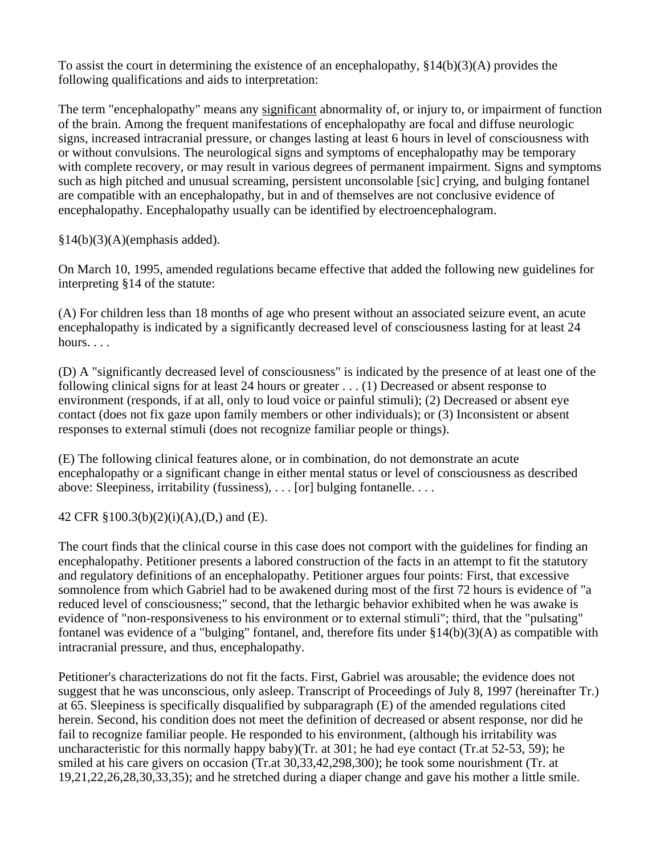To assist the court in determining the existence of an encephalopathy, §14(b)(3)(A) provides the following qualifications and aids to interpretation:

The term "encephalopathy" means any significant abnormality of, or injury to, or impairment of function of the brain. Among the frequent manifestations of encephalopathy are focal and diffuse neurologic signs, increased intracranial pressure, or changes lasting at least 6 hours in level of consciousness with or without convulsions. The neurological signs and symptoms of encephalopathy may be temporary with complete recovery, or may result in various degrees of permanent impairment. Signs and symptoms such as high pitched and unusual screaming, persistent unconsolable [sic] crying, and bulging fontanel are compatible with an encephalopathy, but in and of themselves are not conclusive evidence of encephalopathy. Encephalopathy usually can be identified by electroencephalogram.

 $§14(b)(3)(A)(emphasis added).$ 

On March 10, 1995, amended regulations became effective that added the following new guidelines for interpreting §14 of the statute:

(A) For children less than 18 months of age who present without an associated seizure event, an acute encephalopathy is indicated by a significantly decreased level of consciousness lasting for at least 24 hours...

(D) A "significantly decreased level of consciousness" is indicated by the presence of at least one of the following clinical signs for at least 24 hours or greater . . . (1) Decreased or absent response to environment (responds, if at all, only to loud voice or painful stimuli); (2) Decreased or absent eye contact (does not fix gaze upon family members or other individuals); or (3) Inconsistent or absent responses to external stimuli (does not recognize familiar people or things).

(E) The following clinical features alone, or in combination, do not demonstrate an acute encephalopathy or a significant change in either mental status or level of consciousness as described above: Sleepiness, irritability (fussiness), . . . [or] bulging fontanelle. . . .

42 CFR §100.3(b)(2)(i)(A),(D,) and (E).

The court finds that the clinical course in this case does not comport with the guidelines for finding an encephalopathy. Petitioner presents a labored construction of the facts in an attempt to fit the statutory and regulatory definitions of an encephalopathy. Petitioner argues four points: First, that excessive somnolence from which Gabriel had to be awakened during most of the first 72 hours is evidence of "a reduced level of consciousness;" second, that the lethargic behavior exhibited when he was awake is evidence of "non-responsiveness to his environment or to external stimuli"; third, that the "pulsating" fontanel was evidence of a "bulging" fontanel, and, therefore fits under  $\S14(b)(3)(A)$  as compatible with intracranial pressure, and thus, encephalopathy.

Petitioner's characterizations do not fit the facts. First, Gabriel was arousable; the evidence does not suggest that he was unconscious, only asleep. Transcript of Proceedings of July 8, 1997 (hereinafter Tr.) at 65. Sleepiness is specifically disqualified by subparagraph (E) of the amended regulations cited herein. Second, his condition does not meet the definition of decreased or absent response, nor did he fail to recognize familiar people. He responded to his environment, (although his irritability was uncharacteristic for this normally happy baby)(Tr. at 301; he had eye contact (Tr.at 52-53, 59); he smiled at his care givers on occasion (Tr.at 30,33,42,298,300); he took some nourishment (Tr. at 19,21,22,26,28,30,33,35); and he stretched during a diaper change and gave his mother a little smile.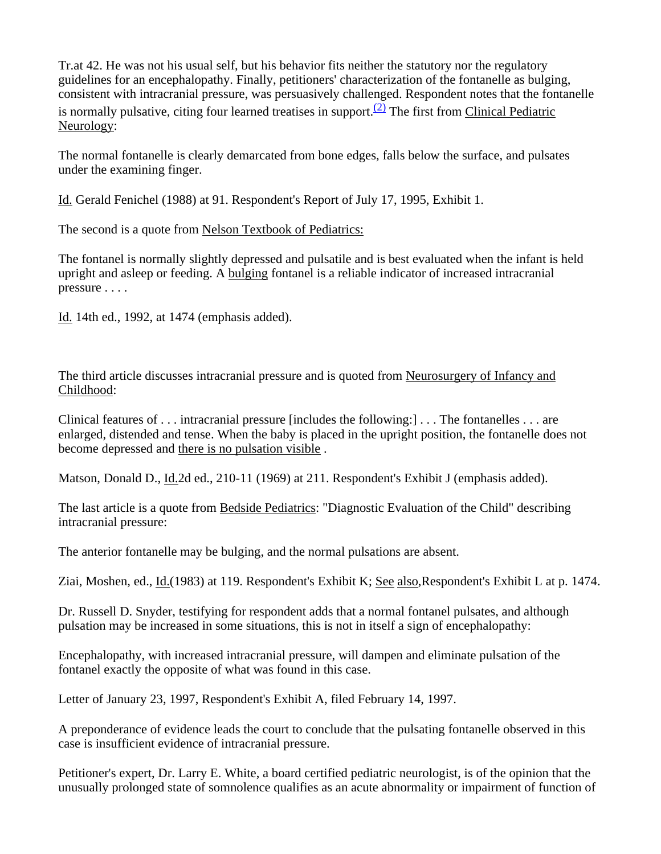Tr.at 42. He was not his usual self, but his behavior fits neither the statutory nor the regulatory guidelines for an encephalopathy. Finally, petitioners' characterization of the fontanelle as bulging, consistent with intracranial pressure, was persuasively challenged. Respondent notes that the fontanelle is normally pulsative, citing four learned treatises in support.<sup>(2)</sup> The first from Clinical Pediatric Neurology:

The normal fontanelle is clearly demarcated from bone edges, falls below the surface, and pulsates under the examining finger.

Id. Gerald Fenichel (1988) at 91. Respondent's Report of July 17, 1995, Exhibit 1.

The second is a quote from Nelson Textbook of Pediatrics:

The fontanel is normally slightly depressed and pulsatile and is best evaluated when the infant is held upright and asleep or feeding. A bulging fontanel is a reliable indicator of increased intracranial pressure . . . .

Id. 14th ed., 1992, at 1474 (emphasis added).

The third article discusses intracranial pressure and is quoted from Neurosurgery of Infancy and Childhood:

Clinical features of . . . intracranial pressure [includes the following:] . . . The fontanelles . . . are enlarged, distended and tense. When the baby is placed in the upright position, the fontanelle does not become depressed and there is no pulsation visible .

Matson, Donald D., Id.2d ed., 210-11 (1969) at 211. Respondent's Exhibit J (emphasis added).

The last article is a quote from Bedside Pediatrics: "Diagnostic Evaluation of the Child" describing intracranial pressure:

The anterior fontanelle may be bulging, and the normal pulsations are absent.

Ziai, Moshen, ed., Id.(1983) at 119. Respondent's Exhibit K; See also,Respondent's Exhibit L at p. 1474.

Dr. Russell D. Snyder, testifying for respondent adds that a normal fontanel pulsates, and although pulsation may be increased in some situations, this is not in itself a sign of encephalopathy:

Encephalopathy, with increased intracranial pressure, will dampen and eliminate pulsation of the fontanel exactly the opposite of what was found in this case.

Letter of January 23, 1997, Respondent's Exhibit A, filed February 14, 1997.

A preponderance of evidence leads the court to conclude that the pulsating fontanelle observed in this case is insufficient evidence of intracranial pressure.

Petitioner's expert, Dr. Larry E. White, a board certified pediatric neurologist, is of the opinion that the unusually prolonged state of somnolence qualifies as an acute abnormality or impairment of function of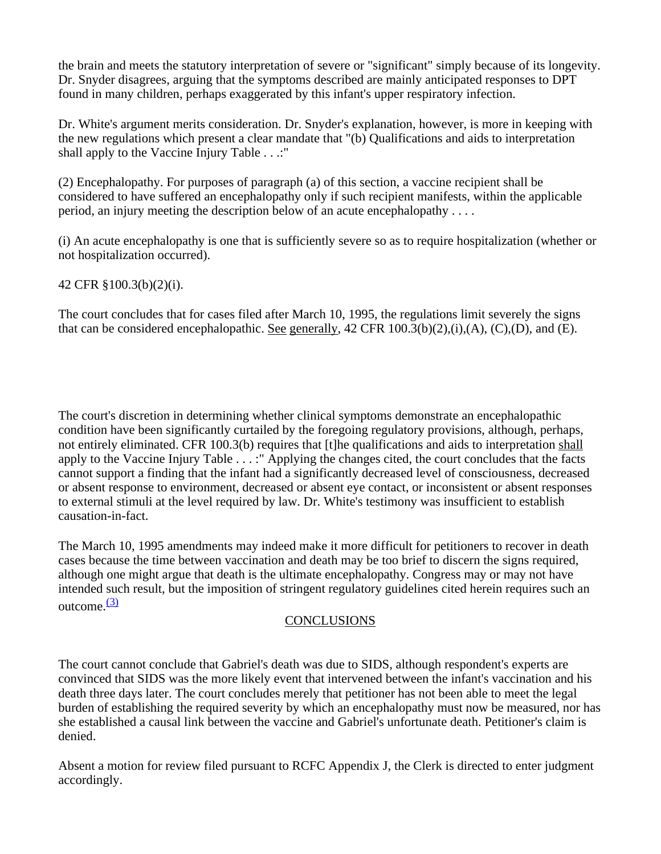the brain and meets the statutory interpretation of severe or "significant" simply because of its longevity. Dr. Snyder disagrees, arguing that the symptoms described are mainly anticipated responses to DPT found in many children, perhaps exaggerated by this infant's upper respiratory infection.

Dr. White's argument merits consideration. Dr. Snyder's explanation, however, is more in keeping with the new regulations which present a clear mandate that "(b) Qualifications and aids to interpretation shall apply to the Vaccine Injury Table . . .:"

(2) Encephalopathy. For purposes of paragraph (a) of this section, a vaccine recipient shall be considered to have suffered an encephalopathy only if such recipient manifests, within the applicable period, an injury meeting the description below of an acute encephalopathy . . . .

(i) An acute encephalopathy is one that is sufficiently severe so as to require hospitalization (whether or not hospitalization occurred).

42 CFR §100.3(b)(2)(i).

The court concludes that for cases filed after March 10, 1995, the regulations limit severely the signs that can be considered encephalopathic. See generally, 42 CFR 100.3(b)(2),(i),(A), (C),(D), and (E).

The court's discretion in determining whether clinical symptoms demonstrate an encephalopathic condition have been significantly curtailed by the foregoing regulatory provisions, although, perhaps, not entirely eliminated. CFR 100.3(b) requires that [t]he qualifications and aids to interpretation shall apply to the Vaccine Injury Table . . . :" Applying the changes cited, the court concludes that the facts cannot support a finding that the infant had a significantly decreased level of consciousness, decreased or absent response to environment, decreased or absent eye contact, or inconsistent or absent responses to external stimuli at the level required by law. Dr. White's testimony was insufficient to establish causation-in-fact.

The March 10, 1995 amendments may indeed make it more difficult for petitioners to recover in death cases because the time between vaccination and death may be too brief to discern the signs required, although one might argue that death is the ultimate encephalopathy. Congress may or may not have intended such result, but the imposition of stringent regulatory guidelines cited herein requires such an outcome. $\frac{(3)}{2}$ 

## **CONCLUSIONS**

The court cannot conclude that Gabriel's death was due to SIDS, although respondent's experts are convinced that SIDS was the more likely event that intervened between the infant's vaccination and his death three days later. The court concludes merely that petitioner has not been able to meet the legal burden of establishing the required severity by which an encephalopathy must now be measured, nor has she established a causal link between the vaccine and Gabriel's unfortunate death. Petitioner's claim is denied.

Absent a motion for review filed pursuant to RCFC Appendix J, the Clerk is directed to enter judgment accordingly.